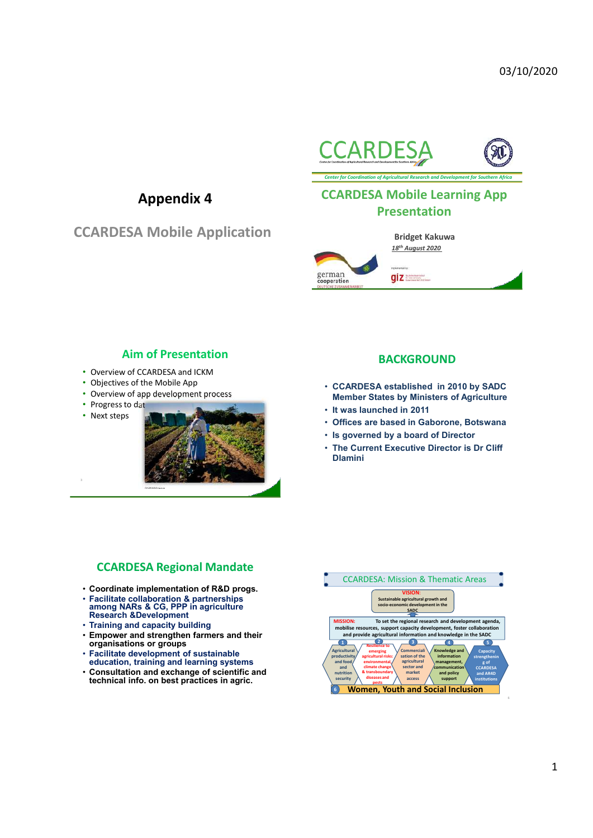03/10/2020



*Center for Coordination of Agricultural Research and Development for Southern Africa*

# **Appendix 4**

**CCARDESA Mobile Application**

# **CCARDESA Mobile Learning App Presentation**



# **Aim of Presentation**

- Overview of CCARDESA and ICKM
- Objectives of the Mobile App
- Overview of app development process
- Progress to dat
- Next steps

3



### **BACKGROUND**

- **CCARDESA established in 2010 by SADC Member States by Ministers of Agriculture**
- **It was launched in 2011**
- **Offices are based in Gaborone, Botswana**
- **Is governed by a board of Director**
- **The Current Executive Director is Dr Cliff Dlamini**

# **CCARDESA Regional Mandate**

- **Coordinate implementation of R&D progs.**
- **Facilitate collaboration & partnerships among NARs & CG, PPP in agriculture Research &Development**
- **Training and capacity building**
- **Empower and strengthen farmers and their organisations or groups**
- **Facilitate development of sustainable education, training and learning systems**
- **Consultation and exchange of scientific and technical info. on best practices in agric.**

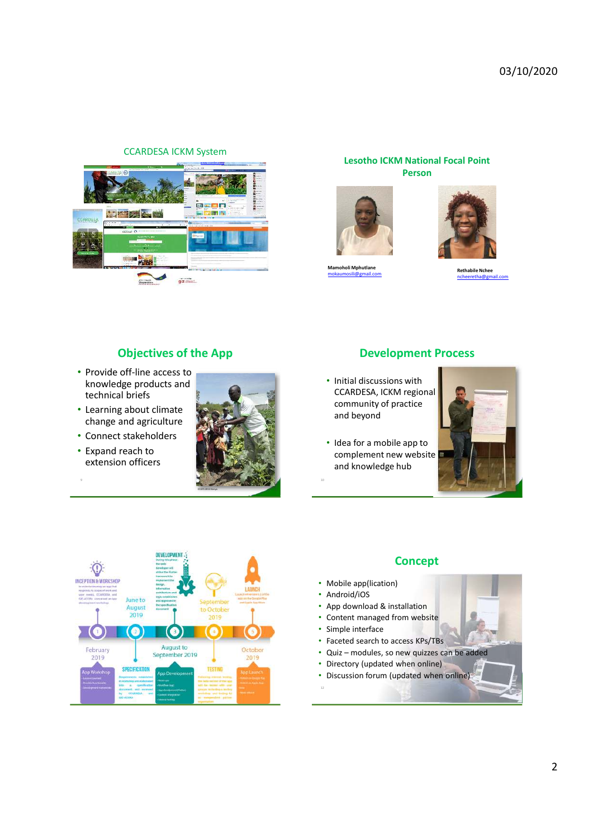

### CCARDESA ICKM System

### **Lesotho ICKM National Focal Point Person**



**Mamoholi Mphutlane** mokaumosili@gmail.com



8 ncheeretha@gmail.com **Rethabile Nchee**

## **Objectives of the App**

- Provide off-line access to knowledge products and technical briefs
- Learning about climate change and agriculture
- Connect stakeholders
- Expand reach to extension officers

9



### **Development Process**

- Initial discussions with CCARDESA, ICKM regional community of practice and beyond
- Idea for a mobile app to complement new website and knowledge hub





### **Concept**

- Mobile app(lication)
- Android/iOS

10

12

- App download & installation
- Content managed from website
- Simple interface
- Faceted search to access KPs/TBs • Quiz – modules, so new quizzes can be added
- Directory (updated when online)
- 
- Discussion forum (updated when online)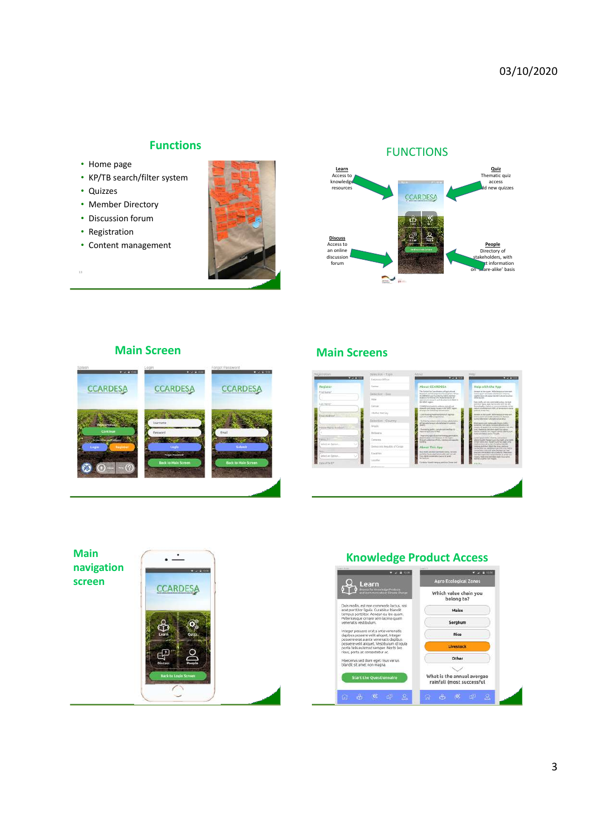# **Functions**

- Home page
- KP/TB search/filter system
- Quizzes
- Member Directory
- Discussion forum
- Registration

13

• Content management





### **Main Screen**



## **Main Screens**



16

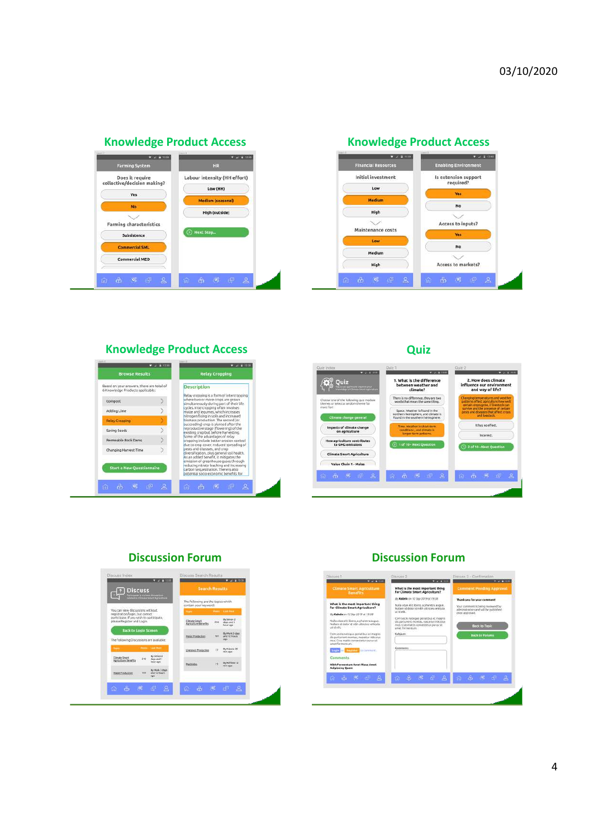03/10/2020



### **Knowledge Product Access Knowledge Product Access**



### **Knowledge Product Access CONSIDERING A CONSIDERING A CONSIDERING A CONSIDERING A CONSIDERING A CONSIDERING A CONSIDERING A CONSIDERING A CONSIDERING A CONSIDERING A CONSIDERING A CONSIDERING A CONSIDERING A CONSIDERING**





## **Discussion Forum**



### **Discussion Forum**

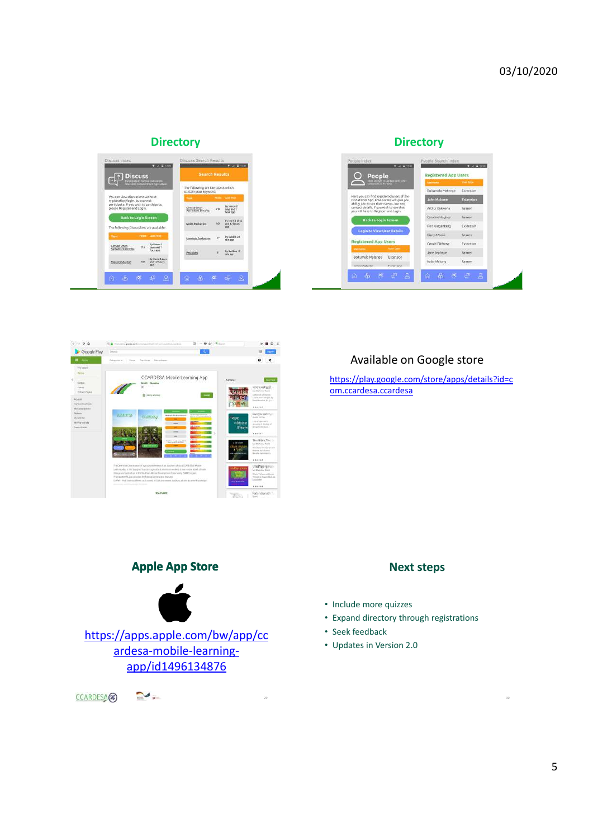## **Directory**



### **Directory**





# Available on Google store

https://play.google.com/store/apps/details?id=c om.ccardesa.ccardesa

# **Apple App Store**



https://apps.apple.com/bw/app/cc ardesa-mobile-learningapp/id1496134876

29





## **Next steps**

- Include more quizzes
- Expand directory through registrations
- Seek feedback
- Updates in Version 2.0

30